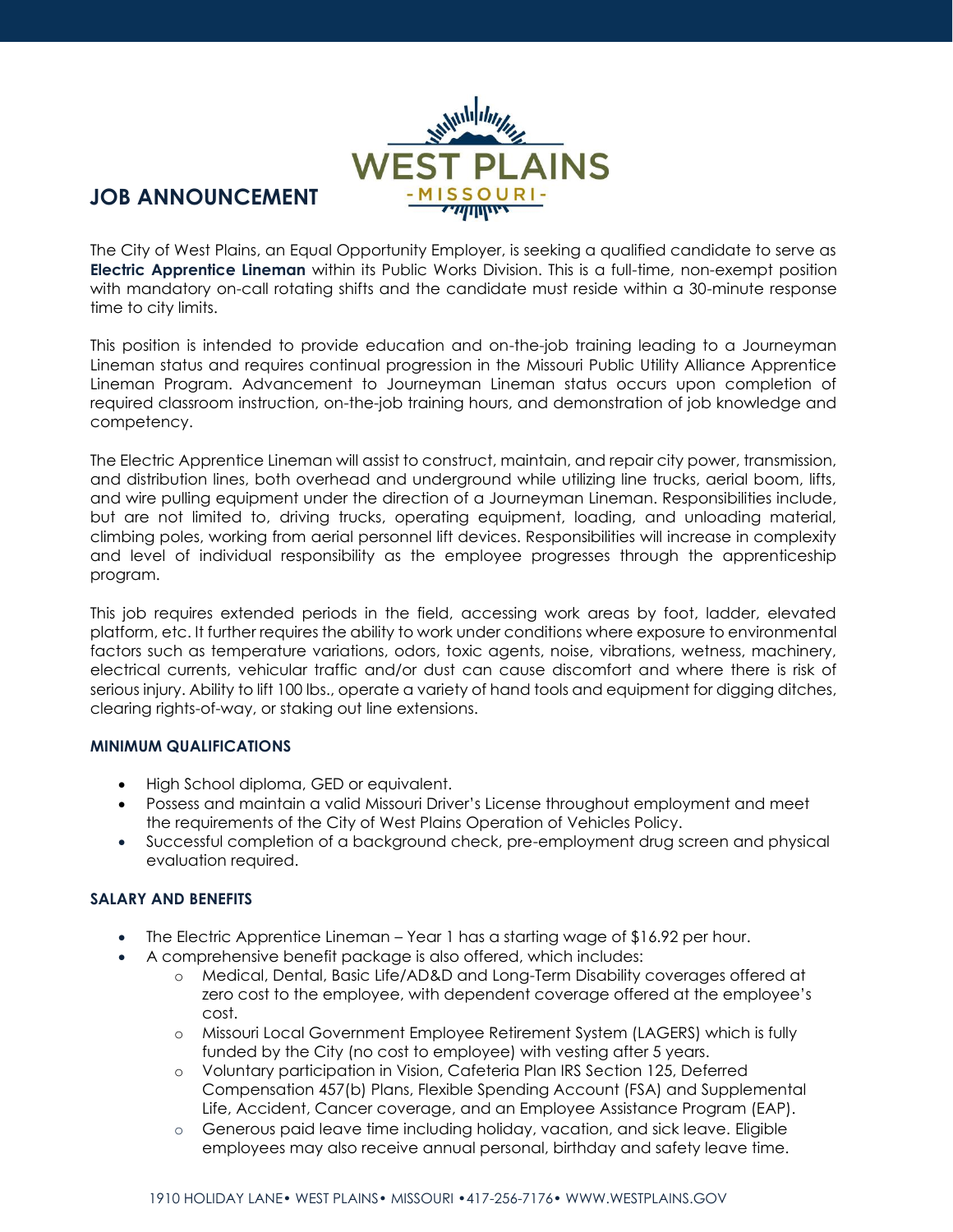

## **JOB ANNOUNCEMENT**

The City of West Plains, an Equal Opportunity Employer, is seeking a qualified candidate to serve as **Electric Apprentice Lineman** within its Public Works Division. This is a full-time, non-exempt position with mandatory on-call rotating shifts and the candidate must reside within a 30-minute response time to city limits.

This position is intended to provide education and on-the-job training leading to a Journeyman Lineman status and requires continual progression in the Missouri Public Utility Alliance Apprentice Lineman Program. Advancement to Journeyman Lineman status occurs upon completion of required classroom instruction, on-the-job training hours, and demonstration of job knowledge and competency.

The Electric Apprentice Lineman will assist to construct, maintain, and repair city power, transmission, and distribution lines, both overhead and underground while utilizing line trucks, aerial boom, lifts, and wire pulling equipment under the direction of a Journeyman Lineman. Responsibilities include, but are not limited to, driving trucks, operating equipment, loading, and unloading material, climbing poles, working from aerial personnel lift devices. Responsibilities will increase in complexity and level of individual responsibility as the employee progresses through the apprenticeship program.

This job requires extended periods in the field, accessing work areas by foot, ladder, elevated platform, etc. It further requires the ability to work under conditions where exposure to environmental factors such as temperature variations, odors, toxic agents, noise, vibrations, wetness, machinery, electrical currents, vehicular traffic and/or dust can cause discomfort and where there is risk of serious injury. Ability to lift 100 lbs., operate a variety of hand tools and equipment for digging ditches, clearing rights-of-way, or staking out line extensions.

## **MINIMUM QUALIFICATIONS**

- High School diploma, GED or equivalent.
- Possess and maintain a valid Missouri Driver's License throughout employment and meet the requirements of the City of West Plains Operation of Vehicles Policy.
- Successful completion of a background check, pre-employment drug screen and physical evaluation required.

## **SALARY AND BENEFITS**

- The Electric Apprentice Lineman Year 1 has a starting wage of \$16.92 per hour.
- A comprehensive benefit package is also offered, which includes:
	- o Medical, Dental, Basic Life/AD&D and Long-Term Disability coverages offered at zero cost to the employee, with dependent coverage offered at the employee's cost.
	- o Missouri Local Government Employee Retirement System (LAGERS) which is fully funded by the City (no cost to employee) with vesting after 5 years.
	- o Voluntary participation in Vision, Cafeteria Plan IRS Section 125, Deferred Compensation 457(b) Plans, Flexible Spending Account (FSA) and Supplemental Life, Accident, Cancer coverage, and an Employee Assistance Program (EAP).
	- o Generous paid leave time including holiday, vacation, and sick leave. Eligible employees may also receive annual personal, birthday and safety leave time.